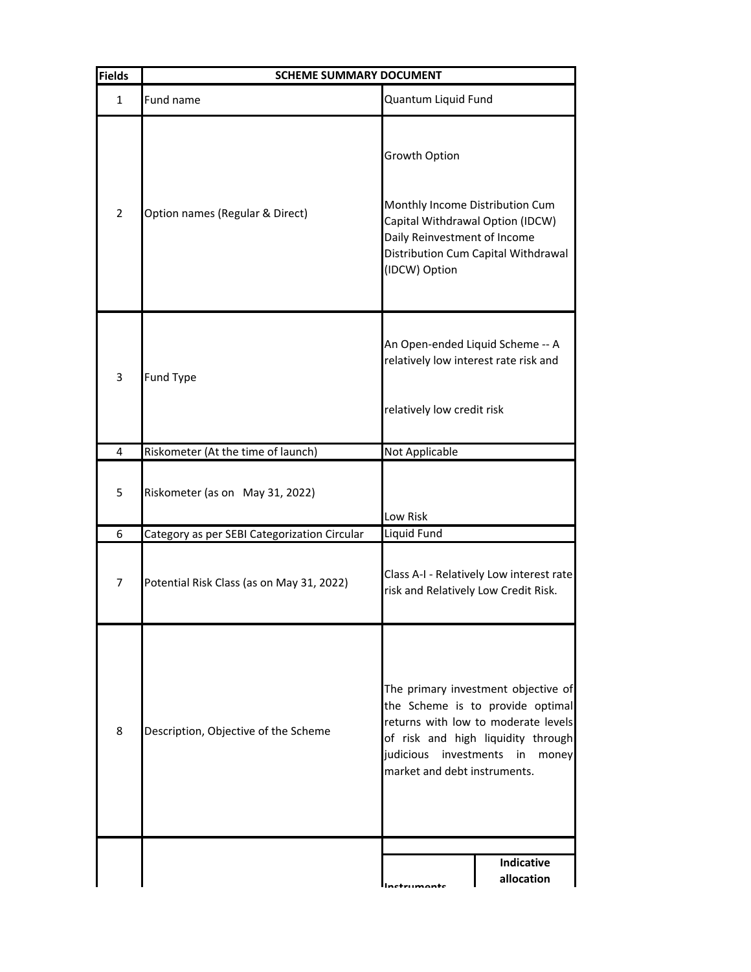| <b>Fields</b> | <b>SCHEME SUMMARY DOCUMENT</b>               |                                                                                                                                                                                                                           |                                     |
|---------------|----------------------------------------------|---------------------------------------------------------------------------------------------------------------------------------------------------------------------------------------------------------------------------|-------------------------------------|
| $\mathbf{1}$  | Fund name                                    | Quantum Liquid Fund                                                                                                                                                                                                       |                                     |
| 2             | Option names (Regular & Direct)              | Growth Option<br>Monthly Income Distribution Cum<br>Capital Withdrawal Option (IDCW)<br>Daily Reinvestment of Income<br>(IDCW) Option                                                                                     | Distribution Cum Capital Withdrawal |
| 3             | Fund Type                                    | An Open-ended Liquid Scheme -- A<br>relatively low interest rate risk and<br>relatively low credit risk                                                                                                                   |                                     |
| 4             | Riskometer (At the time of launch)           | <b>Not Applicable</b>                                                                                                                                                                                                     |                                     |
| 5             | Riskometer (as on May 31, 2022)              | Low Risk                                                                                                                                                                                                                  |                                     |
| 6             | Category as per SEBI Categorization Circular | Liquid Fund                                                                                                                                                                                                               |                                     |
| 7             | Potential Risk Class (as on May 31, 2022)    | Class A-I - Relatively Low interest rate<br>risk and Relatively Low Credit Risk.                                                                                                                                          |                                     |
| 8             | Description, Objective of the Scheme         | The primary investment objective of<br>the Scheme is to provide optimal<br>returns with low to moderate levels<br>of risk and high liquidity through<br>judicious investments in<br>money<br>market and debt instruments. |                                     |
|               |                                              |                                                                                                                                                                                                                           | Indicative<br>allocation            |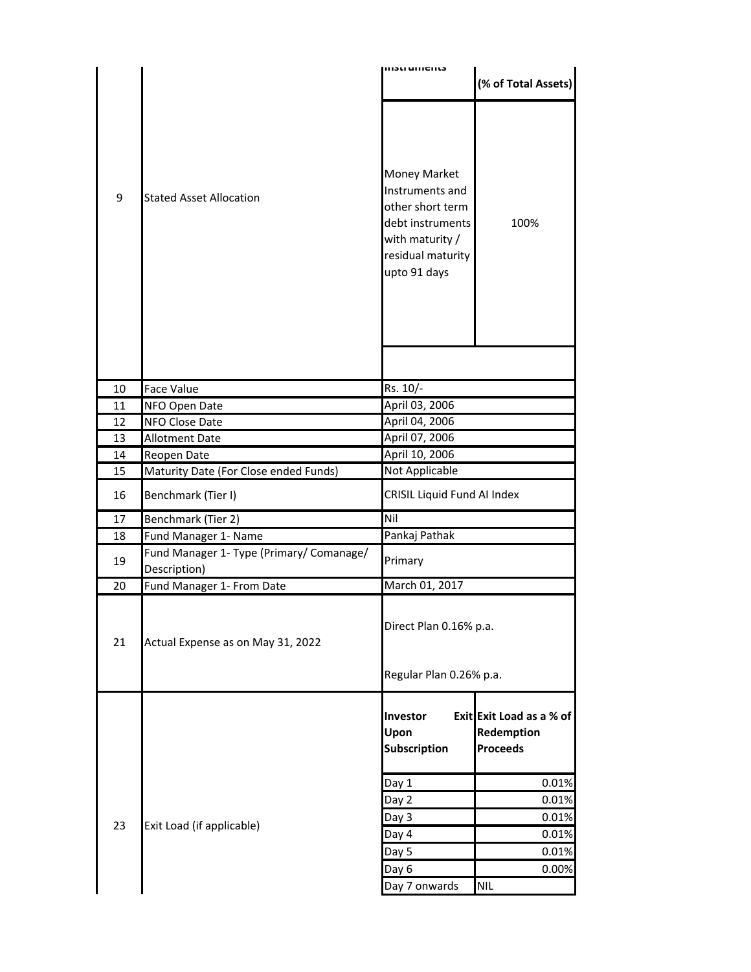|    |                                          | 1113U UNICIILS                                                                                                                  |                                                           |
|----|------------------------------------------|---------------------------------------------------------------------------------------------------------------------------------|-----------------------------------------------------------|
|    |                                          |                                                                                                                                 | (% of Total Assets)                                       |
| 9  | <b>Stated Asset Allocation</b>           | Money Market<br>Instruments and<br>other short term<br>debt instruments<br>with maturity /<br>residual maturity<br>upto 91 days | 100%                                                      |
|    |                                          |                                                                                                                                 |                                                           |
| 10 | <b>Face Value</b>                        | Rs. 10/-                                                                                                                        |                                                           |
| 11 | NFO Open Date                            | April 03, 2006                                                                                                                  |                                                           |
| 12 | NFO Close Date                           | April 04, 2006                                                                                                                  |                                                           |
| 13 | <b>Allotment Date</b>                    | April 07, 2006                                                                                                                  |                                                           |
| 14 | Reopen Date                              | April 10, 2006                                                                                                                  |                                                           |
| 15 | Maturity Date (For Close ended Funds)    | Not Applicable                                                                                                                  |                                                           |
| 16 | Benchmark (Tier I)                       | CRISIL Liquid Fund AI Index                                                                                                     |                                                           |
| 17 | Benchmark (Tier 2)                       | Nil                                                                                                                             |                                                           |
| 18 | Fund Manager 1- Name                     | Pankaj Pathak                                                                                                                   |                                                           |
| 19 | Fund Manager 1- Type (Primary/ Comanage/ | Primary                                                                                                                         |                                                           |
|    | Description)                             |                                                                                                                                 |                                                           |
| 20 | Fund Manager 1- From Date                | March 01, 2017                                                                                                                  |                                                           |
| 21 | Actual Expense as on May 31, 2022        | Direct Plan 0.16% p.a.<br>Regular Plan 0.26% p.a.                                                                               |                                                           |
|    |                                          | Investor<br>Upon<br>Subscription                                                                                                | Exit Exit Load as a % of<br>Redemption<br><b>Proceeds</b> |
| 23 | Exit Load (if applicable)                | Day 1                                                                                                                           | 0.01%                                                     |
|    |                                          | Day 2                                                                                                                           | 0.01%                                                     |
|    |                                          | Day 3                                                                                                                           | 0.01%                                                     |
|    |                                          | Day 4                                                                                                                           | 0.01%                                                     |
|    |                                          | Day 5                                                                                                                           | 0.01%                                                     |
|    |                                          | Day 6                                                                                                                           | 0.00%                                                     |
|    |                                          | Day 7 onwards                                                                                                                   | <b>NIL</b>                                                |
|    |                                          |                                                                                                                                 |                                                           |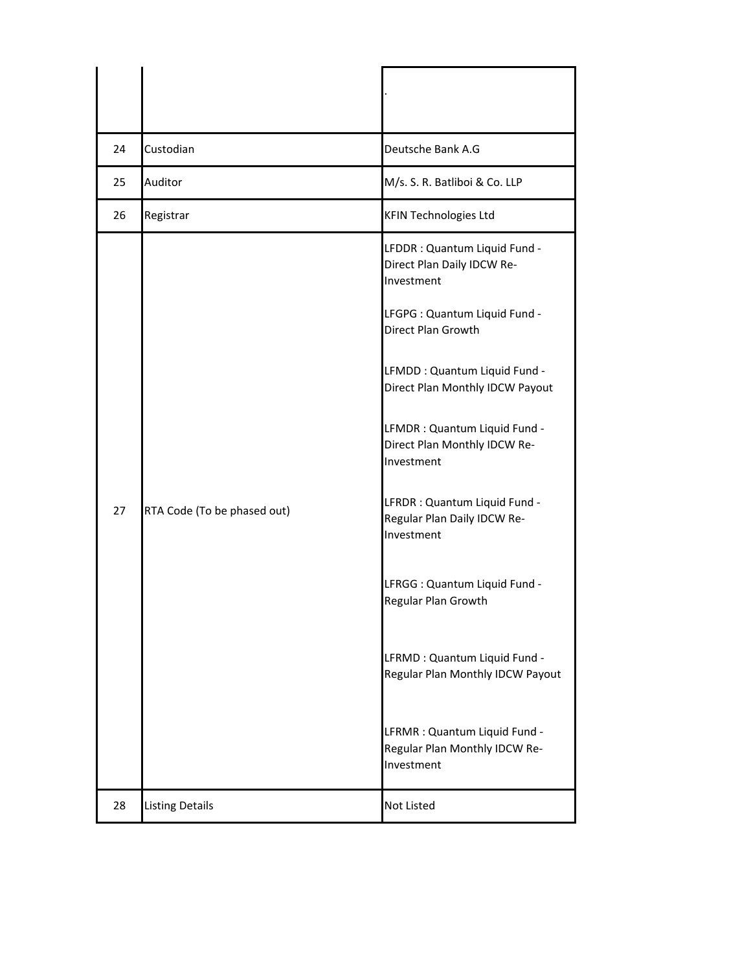| 24 | Custodian                   | Deutsche Bank A.G                                                                                                                                                                                                                                                                                                                                                                                                                                                                                                                                                            |
|----|-----------------------------|------------------------------------------------------------------------------------------------------------------------------------------------------------------------------------------------------------------------------------------------------------------------------------------------------------------------------------------------------------------------------------------------------------------------------------------------------------------------------------------------------------------------------------------------------------------------------|
| 25 | Auditor                     | M/s. S. R. Batliboi & Co. LLP                                                                                                                                                                                                                                                                                                                                                                                                                                                                                                                                                |
| 26 | Registrar                   | <b>KFIN Technologies Ltd</b>                                                                                                                                                                                                                                                                                                                                                                                                                                                                                                                                                 |
| 27 | RTA Code (To be phased out) | LFDDR: Quantum Liquid Fund -<br>Direct Plan Daily IDCW Re-<br>Investment<br>LFGPG : Quantum Liquid Fund -<br>Direct Plan Growth<br>LFMDD: Quantum Liquid Fund -<br>Direct Plan Monthly IDCW Payout<br>LFMDR : Quantum Liquid Fund -<br>Direct Plan Monthly IDCW Re-<br>Investment<br>LFRDR : Quantum Liquid Fund -<br>Regular Plan Daily IDCW Re-<br>Investment<br>LFRGG : Quantum Liquid Fund -<br>Regular Plan Growth<br>LFRMD : Quantum Liquid Fund -<br>Regular Plan Monthly IDCW Payout<br>LFRMR : Quantum Liquid Fund -<br>Regular Plan Monthly IDCW Re-<br>Investment |
| 28 | <b>Listing Details</b>      | <b>Not Listed</b>                                                                                                                                                                                                                                                                                                                                                                                                                                                                                                                                                            |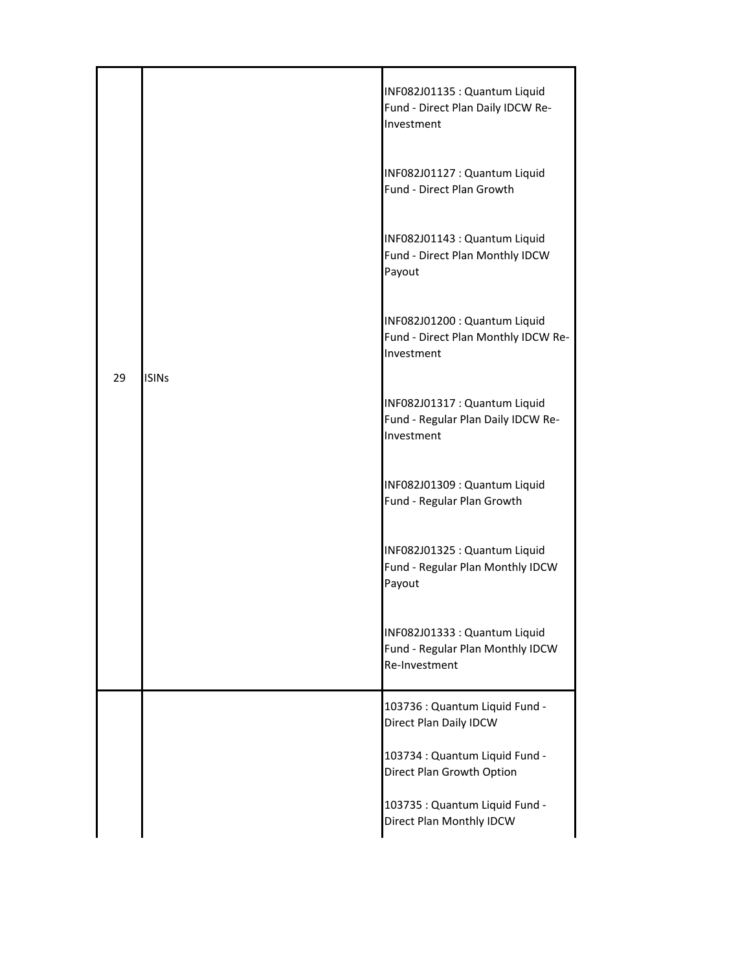| 29 | <b>ISINs</b> | INF082J01135 : Quantum Liquid<br>Fund - Direct Plan Daily IDCW Re-<br>Investment   |
|----|--------------|------------------------------------------------------------------------------------|
|    |              | INF082J01127 : Quantum Liquid<br>Fund - Direct Plan Growth                         |
|    |              | INF082J01143 : Quantum Liquid<br>Fund - Direct Plan Monthly IDCW<br>Payout         |
|    |              | INF082J01200 : Quantum Liquid<br>Fund - Direct Plan Monthly IDCW Re-<br>Investment |
|    |              | INF082J01317 : Quantum Liquid<br>Fund - Regular Plan Daily IDCW Re-<br>Investment  |
|    |              | INF082J01309 : Quantum Liquid<br>Fund - Regular Plan Growth                        |
|    |              | INF082J01325 : Quantum Liquid<br>Fund - Regular Plan Monthly IDCW<br>Payout        |
|    |              | INF082J01333 : Quantum Liquid<br>Fund - Regular Plan Monthly IDCW<br>Re-Investment |
|    |              | 103736 : Quantum Liquid Fund -<br>Direct Plan Daily IDCW                           |
|    |              | 103734 : Quantum Liquid Fund -<br>Direct Plan Growth Option                        |
|    |              | 103735 : Quantum Liquid Fund -<br>Direct Plan Monthly IDCW                         |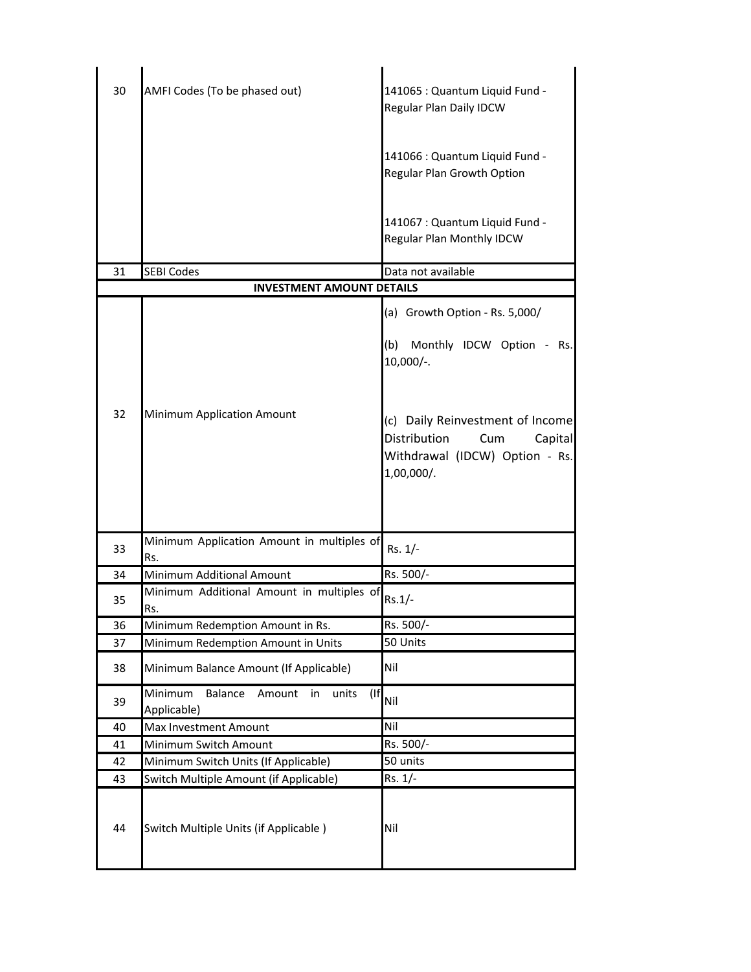| 30 | AMFI Codes (To be phased out)                                               | 141065 : Quantum Liquid Fund -<br>Regular Plan Daily IDCW                                                          |
|----|-----------------------------------------------------------------------------|--------------------------------------------------------------------------------------------------------------------|
|    |                                                                             | 141066 : Quantum Liquid Fund -<br>Regular Plan Growth Option                                                       |
|    |                                                                             | 141067 : Quantum Liquid Fund -<br>Regular Plan Monthly IDCW                                                        |
| 31 | <b>SEBI Codes</b>                                                           | Data not available                                                                                                 |
|    | <b>INVESTMENT AMOUNT DETAILS</b>                                            |                                                                                                                    |
|    |                                                                             | (a) Growth Option - Rs. 5,000/<br>(b)<br>Monthly IDCW Option - Rs.<br>$10,000/-$ .                                 |
| 32 | Minimum Application Amount                                                  | (c) Daily Reinvestment of Income<br>Distribution<br>Capital<br>Cum<br>Withdrawal (IDCW) Option - Rs.<br>1,00,000/. |
| 33 | Minimum Application Amount in multiples of<br>Rs.                           | Rs. 1/-                                                                                                            |
| 34 | Minimum Additional Amount                                                   | Rs. 500/-                                                                                                          |
| 35 | Minimum Additional Amount in multiples of<br>Rs.                            | $Rs.1/-$                                                                                                           |
| 36 | Minimum Redemption Amount in Rs.                                            | Rs. 500/-                                                                                                          |
| 37 | Minimum Redemption Amount in Units                                          | 50 Units                                                                                                           |
| 38 | Minimum Balance Amount (If Applicable)                                      | Nil                                                                                                                |
| 39 | Minimum<br><b>Balance</b><br>$($ If<br>Amount<br>units<br>in<br>Applicable) | Nil                                                                                                                |
| 40 | Max Investment Amount                                                       | Nil                                                                                                                |
| 41 | Minimum Switch Amount                                                       | Rs. 500/-                                                                                                          |
| 42 | Minimum Switch Units (If Applicable)                                        | 50 units                                                                                                           |
| 43 | Switch Multiple Amount (if Applicable)                                      | Rs. 1/-                                                                                                            |
| 44 | Switch Multiple Units (if Applicable)                                       | Nil                                                                                                                |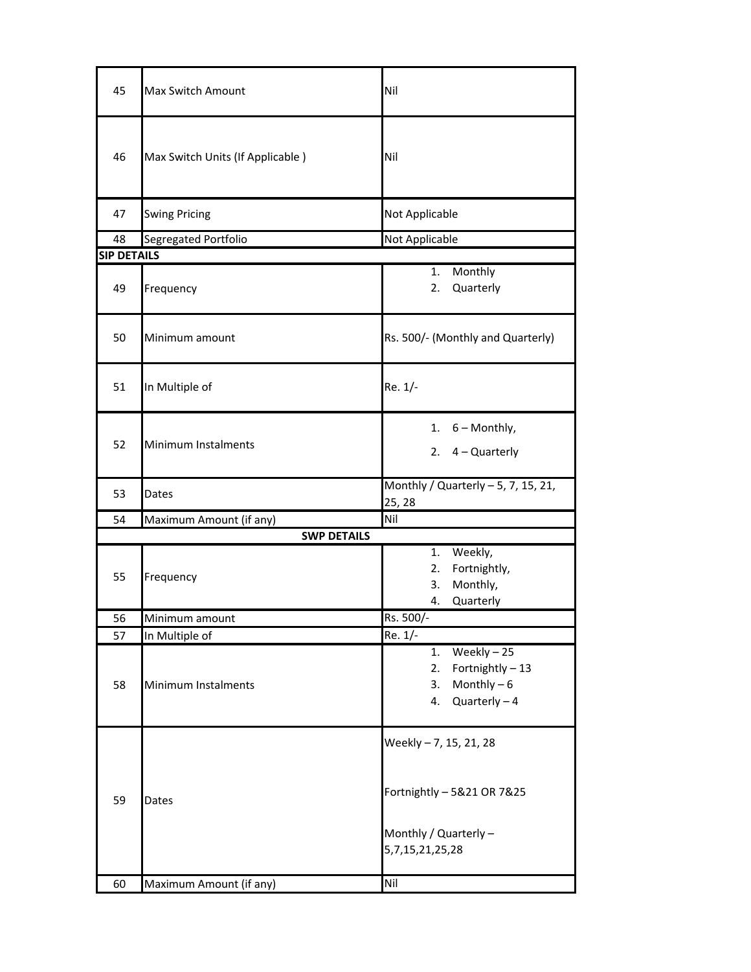| 45 | <b>Max Switch Amount</b>         | Nil                                                                                              |  |  |
|----|----------------------------------|--------------------------------------------------------------------------------------------------|--|--|
| 46 | Max Switch Units (If Applicable) | Nil                                                                                              |  |  |
| 47 | <b>Swing Pricing</b>             | Not Applicable                                                                                   |  |  |
| 48 | Segregated Portfolio             | Not Applicable                                                                                   |  |  |
|    | <b>SIP DETAILS</b>               |                                                                                                  |  |  |
| 49 | Frequency                        | Monthly<br>1.<br>Quarterly<br>2.                                                                 |  |  |
| 50 | Minimum amount                   | Rs. 500/- (Monthly and Quarterly)                                                                |  |  |
| 51 | In Multiple of                   | Re. 1/-                                                                                          |  |  |
| 52 | Minimum Instalments              | 1. $6 -$ Monthly,<br>2. $4 -$ Quarterly                                                          |  |  |
| 53 | Dates                            | Monthly / Quarterly $-5$ , 7, 15, 21,<br>25, 28                                                  |  |  |
| 54 | Maximum Amount (if any)          | Nil                                                                                              |  |  |
|    | <b>SWP DETAILS</b>               |                                                                                                  |  |  |
| 55 | Frequency                        | Weekly,<br>1.<br>Fortnightly,<br>2.<br>Monthly,<br>3.<br>Quarterly<br>4.                         |  |  |
| 56 | Minimum amount                   | Rs. 500/-                                                                                        |  |  |
| 57 | In Multiple of                   | Re. 1/-                                                                                          |  |  |
| 58 | Minimum Instalments              | Weekly $-25$<br>1.<br>Fortnightly - 13<br>2.<br>Monthly $-6$<br>3.<br>$Quarterly - 4$<br>4.      |  |  |
| 59 | Dates                            | Weekly - 7, 15, 21, 28<br>Fortnightly - 5&21 OR 7&25<br>Monthly / Quarterly -<br>5,7,15,21,25,28 |  |  |
| 60 | Maximum Amount (if any)          | Nil                                                                                              |  |  |